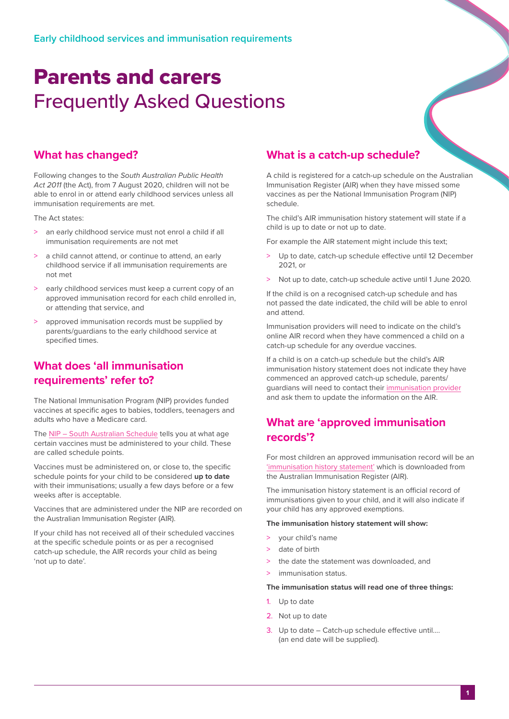# Parents and carers Frequently Asked Questions

#### **What has changed?**

Following changes to the *South Australian Public Health Act 2011* (the Act), from 7 August 2020, children will not be able to enrol in or attend early childhood services unless all immunisation requirements are met.

The Act states:

- > an early childhood service must not enrol a child if all immunisation requirements are not met
- a child cannot attend, or continue to attend, an early childhood service if all immunisation requirements are not met
- > early childhood services must keep a current copy of an approved immunisation record for each child enrolled in, or attending that service, and
- > approved immunisation records must be supplied by parents/guardians to the early childhood service at specified times.

#### **What does 'all immunisation requirements' refer to?**

The National Immunisation Program (NIP) provides funded vaccines at specific ages to babies, toddlers, teenagers and adults who have a Medicare card.

The [NIP – South Australian Schedule](https://www.sahealth.sa.gov.au/wps/wcm/connect/public+content/sa+health+internet/conditions/immunisation/immunisation+programs/childhood+immunisation+program/childhood+immunisation+program) tells you at what age certain vaccines must be administered to your child. These are called schedule points.

Vaccines must be administered on, or close to, the specific schedule points for your child to be considered **up to date** with their immunisations; usually a few days before or a few weeks after is acceptable.

Vaccines that are administered under the NIP are recorded on the Australian Immunisation Register (AIR).

If your child has not received all of their scheduled vaccines at the specific schedule points or as per a recognised catch-up schedule, the AIR records your child as being 'not up to date'.

#### **What is a catch-up schedule?**

A child is registered for a catch-up schedule on the Australian Immunisation Register (AIR) when they have missed some vaccines as per the National Immunisation Program (NIP) schedule.

The child's AIR immunisation history statement will state if a child is up to date or not up to date.

For example the AIR statement might include this text;

- > Up to date, catch-up schedule effective until 12 December 2021, or
- > Not up to date, catch-up schedule active until 1 June 2020.

If the child is on a recognised catch-up schedule and has not passed the date indicated, the child will be able to enrol and attend.

Immunisation providers will need to indicate on the child's online AIR record when they have commenced a child on a catch-up schedule for any overdue vaccines.

If a child is on a catch-up schedule but the child's AIR immunisation history statement does not indicate they have commenced an approved catch-up schedule, parents/ guardians will need to contact their [immunisation provider](https://www.sahealth.sa.gov.au/wps/wcm/connect/public+content/sa+health+internet/services/primary+and+specialised+services/immunisation+services/immunisation+services) and ask them to update the information on the AIR.

#### **What are 'approved immunisation records'?**

For most children an approved immunisation record will be an ['immunisation history statement'](https://www.servicesaustralia.gov.au/individuals/services/medicare/australian-immunisation-register/how-get-immunisation-history-statement) which is downloaded from the Australian Immunisation Register (AIR).

The immunisation history statement is an official record of immunisations given to your child, and it will also indicate if your child has any approved exemptions.

#### **The immunisation history statement will show:**

- > your child's name
- > date of birth
- the date the statement was downloaded, and
- immunisation status.

**The immunisation status will read one of three things:**

- 1. Up to date
- 2. Not up to date
- 3. Up to date Catch-up schedule effective until…. (an end date will be supplied).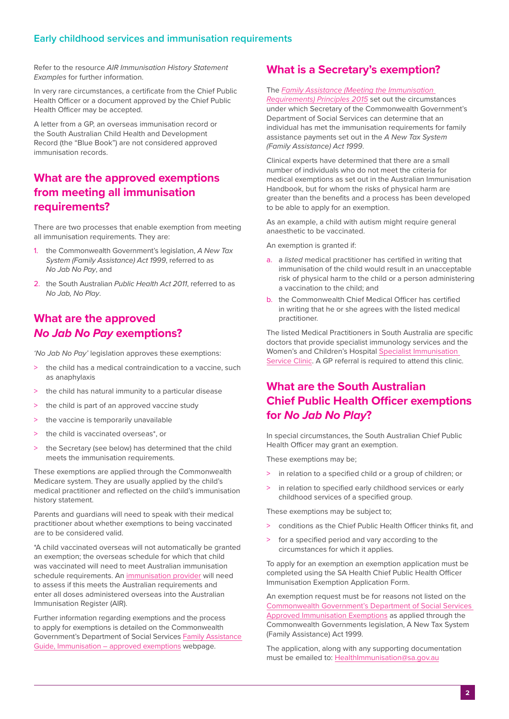#### **Early childhood services and immunisation requirements**

Refer to the resource *AIR Immunisation History Statement Examples* for further information.

In very rare circumstances, a certificate from the Chief Public Health Officer or a document approved by the Chief Public Health Officer may be accepted.

A letter from a GP, an overseas immunisation record or the South Australian Child Health and Development Record (the "Blue Book") are not considered approved immunisation records.

#### **What are the approved exemptions from meeting all immunisation requirements?**

There are two processes that enable exemption from meeting all immunisation requirements. They are:

- 1. the Commonwealth Government's legislation, *A New Tax System (Family Assistance) Act 1999*, referred to as *No Jab No Pay*, and
- 2. the South Australian *Public Health Act 2011*, referred to as *No Jab, No Play*.

#### **What are the approved**  *No Jab No Pay* **exemptions?**

*'No Jab No Pay'* legislation approves these exemptions:

- > the child has a medical contraindication to a vaccine, such as anaphylaxis
- the child has natural immunity to a particular disease
- > the child is part of an approved vaccine study
- > the vaccine is temporarily unavailable
- the child is vaccinated overseas\*, or
- the Secretary (see below) has determined that the child meets the immunisation requirements.

These exemptions are applied through the Commonwealth Medicare system. They are usually applied by the child's medical practitioner and reflected on the child's immunisation history statement.

Parents and guardians will need to speak with their medical practitioner about whether exemptions to being vaccinated are to be considered valid.

\*A child vaccinated overseas will not automatically be granted an exemption; the overseas schedule for which that child was vaccinated will need to meet Australian immunisation schedule requirements. An [immunisation provider](https://www.sahealth.sa.gov.au/wps/wcm/connect/public+content/sa+health+internet/services/primary+and+specialised+services/immunisation+services/immunisation+services) will need to assess if this meets the Australian requirements and enter all doses administered overseas into the Australian Immunisation Register (AIR).

Further information regarding exemptions and the process to apply for exemptions is detailed on the Commonwealth Government's Department of Social Services [Family Assistance](https://guides.dss.gov.au/family-assistance-guide/2/1/3/40)  [Guide, Immunisation – approved exemptions](https://guides.dss.gov.au/family-assistance-guide/2/1/3/40) webpage.

#### **What is a Secretary's exemption?**

#### The *[Family Assistance \(Meeting the Immunisation](https://www.legislation.gov.au/Details/F2017C00671)*

*[Requirements\) Principles 2015](https://www.legislation.gov.au/Details/F2017C00671)* set out the circumstances under which Secretary of the Commonwealth Government's Department of Social Services can determine that an individual has met the immunisation requirements for family assistance payments set out in the *A New Tax System (Family Assistance) Act 1999*.

Clinical experts have determined that there are a small number of individuals who do not meet the criteria for medical exemptions as set out in the Australian Immunisation Handbook, but for whom the risks of physical harm are greater than the benefits and a process has been developed to be able to apply for an exemption.

As an example, a child with autism might require general anaesthetic to be vaccinated.

An exemption is granted if:

- a. a *listed* medical practitioner has certified in writing that immunisation of the child would result in an unacceptable risk of physical harm to the child or a person administering a vaccination to the child; and
- b. the Commonwealth Chief Medical Officer has certified in writing that he or she agrees with the listed medical practitioner.

The listed Medical Practitioners in South Australia are specific doctors that provide specialist immunology services and the Women's and Children's Hospital [Specialist Immunisation](https://www.sahealth.sa.gov.au/wps/wcm/connect/public+content/sa+health+internet/clinical+resources/clinical+programs+and+practice+guidelines/immunisation+for+health+professionals/referring+to+the+specialist+immunisation+service)  [Service Clinic.](https://www.sahealth.sa.gov.au/wps/wcm/connect/public+content/sa+health+internet/clinical+resources/clinical+programs+and+practice+guidelines/immunisation+for+health+professionals/referring+to+the+specialist+immunisation+service) A GP referral is required to attend this clinic.

# **What are the South Australian Chief Public Health Officer exemptions for** *No Jab No Play***?**

In special circumstances, the South Australian Chief Public Health Officer may grant an exemption.

These exemptions may be;

- > in relation to a specified child or a group of children; or
- > in relation to specified early childhood services or early childhood services of a specified group.

These exemptions may be subject to;

- > conditions as the Chief Public Health Officer thinks fit, and
- for a specified period and vary according to the circumstances for which it applies.

To apply for an exemption an exemption application must be completed using the SA Health Chief Public Health Officer Immunisation Exemption Application Form.

An exemption request must be for reasons not listed on the [Commonwealth Government's Department of Social Services](https://guides.dss.gov.au/family-assistance-guide/2/1/3/40)  [Approved Immunisation Exemptions](https://guides.dss.gov.au/family-assistance-guide/2/1/3/40) as applied through the Commonwealth Governments legislation, A New Tax System (Family Assistance) Act 1999.

The application, along with any supporting documentation must be emailed to: [HealthImmunisation@sa.gov.au](mailto:HealthImmunisation%40sa.gov.au?subject=)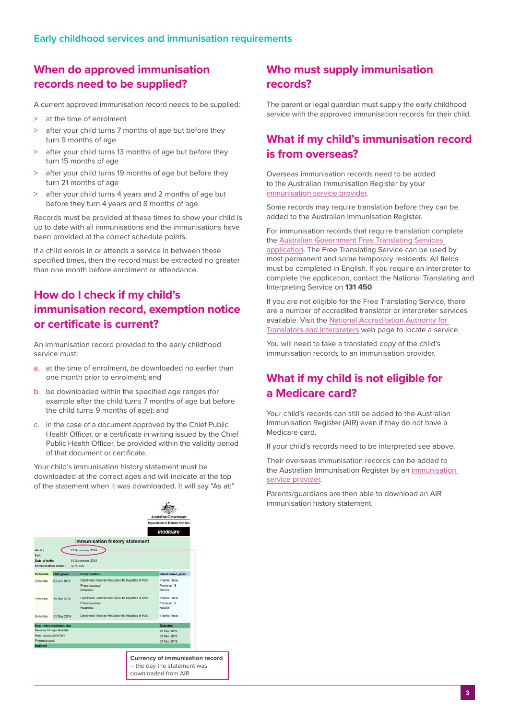#### **When do approved immunisation records need to be supplied?**

A current approved immunisation record needs to be supplied:

- > at the time of enrolment
- > after your child turns 7 months of age but before they turn 9 months of age
- > after your child turns 13 months of age but before they turn 15 months of age
- > after your child turns 19 months of age but before they turn 21 months of age
- after your child turns 4 years and 2 months of age but before they turn 4 years and 8 months of age.

Records must be provided at these times to show your child is up to date with all immunisations and the immunisations have been provided at the correct schedule points.

If a child enrols in or attends a service in between these specified times, then the record must be extracted no greater than one month before enrolment or attendance.

### **How do I check if my child's immunisation record, exemption notice or certificate is current?**

An immunisation record provided to the early childhood service must:

- a. at the time of enrolment, be downloaded no earlier than one month prior to enrolment; and
- b. be downloaded within the specified age ranges (for example after the child turns 7 months of age but before the child turns 9 months of age); and
- c. in the case of a document approved by the Chief Public Health Officer, or a certificate in writing issued by the Chief Public Health Officer, be provided within the validity period of that document or certificate.

Your child's immunisation history statement must be downloaded at the correct ages and will indicate at the top of the statement when it was downloaded. It will say "As at:"

#### **Who must supply immunisation records?**

The parent or legal guardian must supply the early childhood service with the approved immunisation records for their child.

#### **What if my child's immunisation record is from overseas?**

Overseas immunisation records need to be added to the Australian Immunisation Register by your [immunisation service provider](https://www.sahealth.sa.gov.au/wps/wcm/connect/public+content/sa+health+internet/services/primary+and+specialised+services/immunisation+services/immunisation+services).

Some records may require translation before they can be added to the Australian Immunisation Register.

For immunisation records that require translation complete the [Australian Government Free Translating Services](http://)  [application.](http://) The Free Translating Service can be used by most permanent and some temporary residents. All fields must be completed in English. If you require an interpreter to complete the application, contact the National Translating and Interpreting Service on **131 450**.

If you are not eligible for the Free Translating Service, there are a number of accredited translator or interpreter services available. Visit the [National Accreditation Authority for](https://www.naati.com.au/)  [Translators and Interpreters](https://www.naati.com.au/) web page to locate a service.

You will need to take a translated copy of the child's immunisation records to an immunisation provider.

# **What if my child is not eligible for a Medicare card?**

Your child's records can still be added to the Australian Immunisation Register (AIR) even if they do not have a Medicare card.

If your child's records need to be interpreted see above.

Their overseas immunisation records can be added to the Australian Immunisation Register by an [immunisation](https://www.sahealth.sa.gov.au/wps/wcm/connect/public+content/sa+health+internet/services/primary+and+specialised+services/immunisation+services/immunisation+services)  [service provider](https://www.sahealth.sa.gov.au/wps/wcm/connect/public+content/sa+health+internet/services/primary+and+specialised+services/immunisation+services/immunisation+services).

Parents/guardians are then able to download an AIR immunisation history statement.